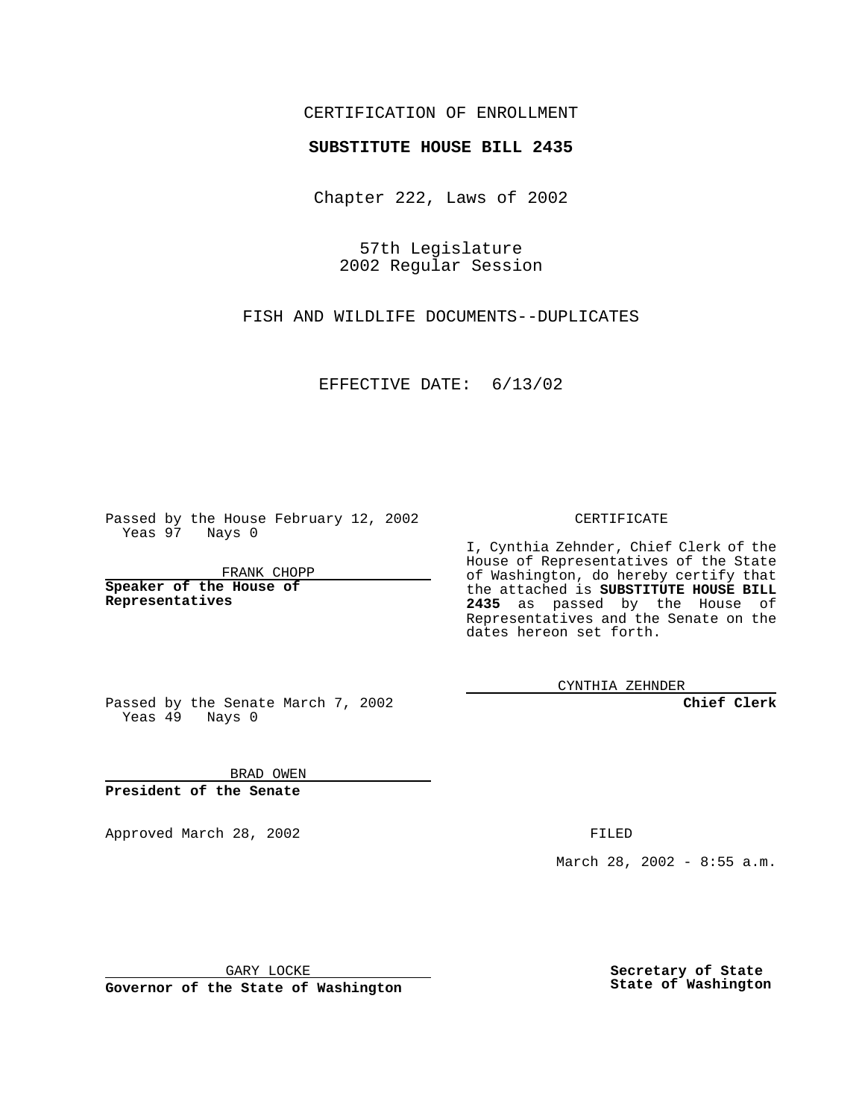## CERTIFICATION OF ENROLLMENT

## **SUBSTITUTE HOUSE BILL 2435**

Chapter 222, Laws of 2002

57th Legislature 2002 Regular Session

FISH AND WILDLIFE DOCUMENTS--DUPLICATES

EFFECTIVE DATE: 6/13/02

Passed by the House February 12, 2002 Yeas 97 Nays 0

FRANK CHOPP

**Speaker of the House of Representatives**

CERTIFICATE

I, Cynthia Zehnder, Chief Clerk of the House of Representatives of the State of Washington, do hereby certify that the attached is **SUBSTITUTE HOUSE BILL 2435** as passed by the House of Representatives and the Senate on the dates hereon set forth.

CYNTHIA ZEHNDER

**Chief Clerk**

Passed by the Senate March 7, 2002 Yeas  $49$  Nays 0

BRAD OWEN **President of the Senate**

Approved March 28, 2002 **FILED** 

March 28, 2002 - 8:55 a.m.

GARY LOCKE

**Governor of the State of Washington**

**Secretary of State State of Washington**